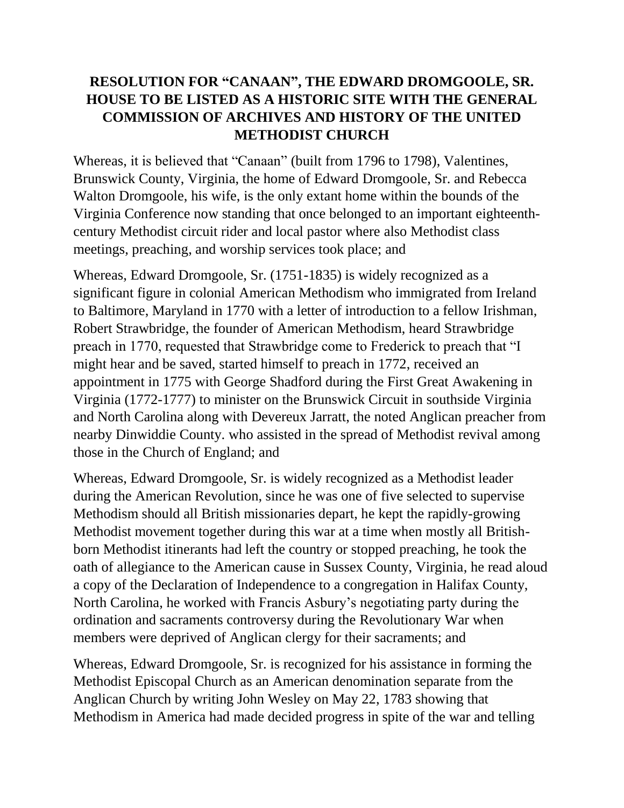## **RESOLUTION FOR "CANAAN", THE EDWARD DROMGOOLE, SR. HOUSE TO BE LISTED AS A HISTORIC SITE WITH THE GENERAL COMMISSION OF ARCHIVES AND HISTORY OF THE UNITED METHODIST CHURCH**

Whereas, it is believed that "Canaan" (built from 1796 to 1798), Valentines, Brunswick County, Virginia, the home of Edward Dromgoole, Sr. and Rebecca Walton Dromgoole, his wife, is the only extant home within the bounds of the Virginia Conference now standing that once belonged to an important eighteenthcentury Methodist circuit rider and local pastor where also Methodist class meetings, preaching, and worship services took place; and

Whereas, Edward Dromgoole, Sr. (1751-1835) is widely recognized as a significant figure in colonial American Methodism who immigrated from Ireland to Baltimore, Maryland in 1770 with a letter of introduction to a fellow Irishman, Robert Strawbridge, the founder of American Methodism, heard Strawbridge preach in 1770, requested that Strawbridge come to Frederick to preach that "I might hear and be saved, started himself to preach in 1772, received an appointment in 1775 with George Shadford during the First Great Awakening in Virginia (1772-1777) to minister on the Brunswick Circuit in southside Virginia and North Carolina along with Devereux Jarratt, the noted Anglican preacher from nearby Dinwiddie County. who assisted in the spread of Methodist revival among those in the Church of England; and

Whereas, Edward Dromgoole, Sr. is widely recognized as a Methodist leader during the American Revolution, since he was one of five selected to supervise Methodism should all British missionaries depart, he kept the rapidly-growing Methodist movement together during this war at a time when mostly all Britishborn Methodist itinerants had left the country or stopped preaching, he took the oath of allegiance to the American cause in Sussex County, Virginia, he read aloud a copy of the Declaration of Independence to a congregation in Halifax County, North Carolina, he worked with Francis Asbury's negotiating party during the ordination and sacraments controversy during the Revolutionary War when members were deprived of Anglican clergy for their sacraments; and

Whereas, Edward Dromgoole, Sr. is recognized for his assistance in forming the Methodist Episcopal Church as an American denomination separate from the Anglican Church by writing John Wesley on May 22, 1783 showing that Methodism in America had made decided progress in spite of the war and telling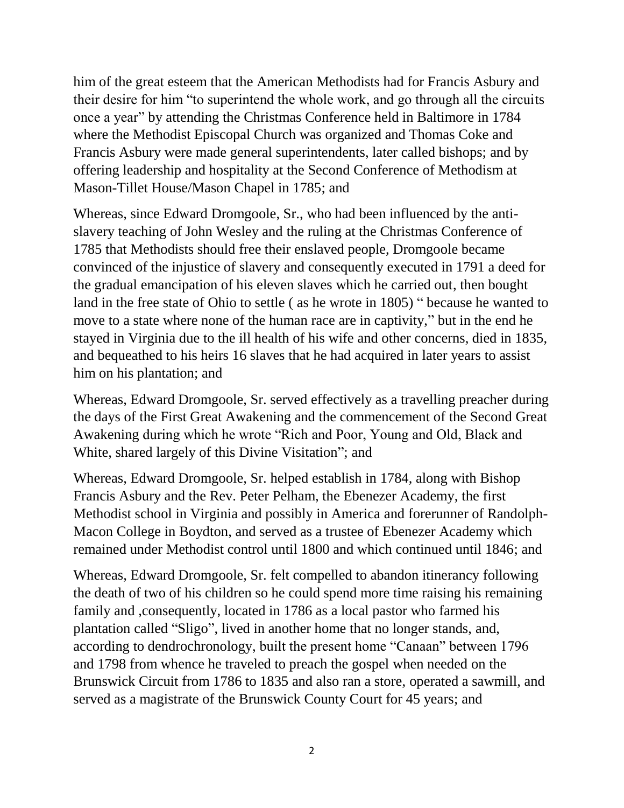him of the great esteem that the American Methodists had for Francis Asbury and their desire for him "to superintend the whole work, and go through all the circuits once a year" by attending the Christmas Conference held in Baltimore in 1784 where the Methodist Episcopal Church was organized and Thomas Coke and Francis Asbury were made general superintendents, later called bishops; and by offering leadership and hospitality at the Second Conference of Methodism at Mason-Tillet House/Mason Chapel in 1785; and

Whereas, since Edward Dromgoole, Sr., who had been influenced by the antislavery teaching of John Wesley and the ruling at the Christmas Conference of 1785 that Methodists should free their enslaved people, Dromgoole became convinced of the injustice of slavery and consequently executed in 1791 a deed for the gradual emancipation of his eleven slaves which he carried out, then bought land in the free state of Ohio to settle ( as he wrote in 1805) " because he wanted to move to a state where none of the human race are in captivity," but in the end he stayed in Virginia due to the ill health of his wife and other concerns, died in 1835, and bequeathed to his heirs 16 slaves that he had acquired in later years to assist him on his plantation; and

Whereas, Edward Dromgoole, Sr. served effectively as a travelling preacher during the days of the First Great Awakening and the commencement of the Second Great Awakening during which he wrote "Rich and Poor, Young and Old, Black and White, shared largely of this Divine Visitation"; and

Whereas, Edward Dromgoole, Sr. helped establish in 1784, along with Bishop Francis Asbury and the Rev. Peter Pelham, the Ebenezer Academy, the first Methodist school in Virginia and possibly in America and forerunner of Randolph-Macon College in Boydton, and served as a trustee of Ebenezer Academy which remained under Methodist control until 1800 and which continued until 1846; and

Whereas, Edward Dromgoole, Sr. felt compelled to abandon itinerancy following the death of two of his children so he could spend more time raising his remaining family and ,consequently, located in 1786 as a local pastor who farmed his plantation called "Sligo", lived in another home that no longer stands, and, according to dendrochronology, built the present home "Canaan" between 1796 and 1798 from whence he traveled to preach the gospel when needed on the Brunswick Circuit from 1786 to 1835 and also ran a store, operated a sawmill, and served as a magistrate of the Brunswick County Court for 45 years; and